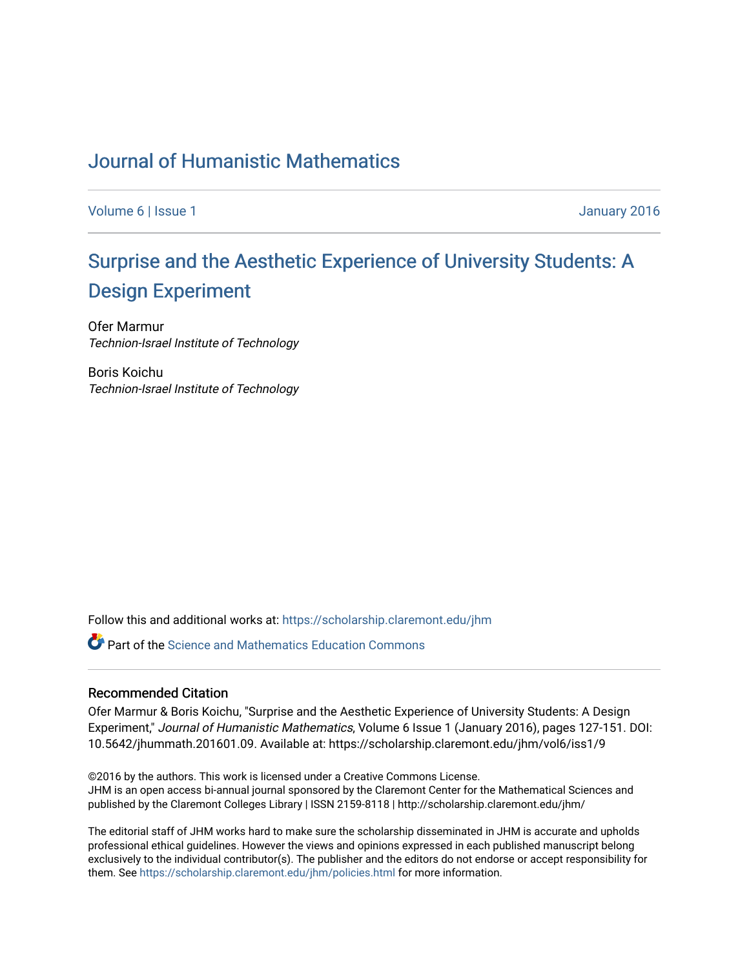## [Journal of Humanistic Mathematics](https://scholarship.claremont.edu/jhm)

[Volume 6](https://scholarship.claremont.edu/jhm/vol6) | [Issue 1](https://scholarship.claremont.edu/jhm/vol6/iss1) January 2016

# [Surprise and the Aesthetic Experience of University Students: A](https://scholarship.claremont.edu/jhm/vol6/iss1/9) [Design Experiment](https://scholarship.claremont.edu/jhm/vol6/iss1/9)

Ofer Marmur Technion-Israel Institute of Technology

Boris Koichu Technion-Israel Institute of Technology

Follow this and additional works at: [https://scholarship.claremont.edu/jhm](https://scholarship.claremont.edu/jhm?utm_source=scholarship.claremont.edu%2Fjhm%2Fvol6%2Fiss1%2F9&utm_medium=PDF&utm_campaign=PDFCoverPages)

**C** Part of the Science and Mathematics Education Commons

#### Recommended Citation

Ofer Marmur & Boris Koichu, "Surprise and the Aesthetic Experience of University Students: A Design Experiment," Journal of Humanistic Mathematics, Volume 6 Issue 1 (January 2016), pages 127-151. DOI: 10.5642/jhummath.201601.09. Available at: https://scholarship.claremont.edu/jhm/vol6/iss1/9

©2016 by the authors. This work is licensed under a Creative Commons License. JHM is an open access bi-annual journal sponsored by the Claremont Center for the Mathematical Sciences and published by the Claremont Colleges Library | ISSN 2159-8118 | http://scholarship.claremont.edu/jhm/

The editorial staff of JHM works hard to make sure the scholarship disseminated in JHM is accurate and upholds professional ethical guidelines. However the views and opinions expressed in each published manuscript belong exclusively to the individual contributor(s). The publisher and the editors do not endorse or accept responsibility for them. See<https://scholarship.claremont.edu/jhm/policies.html> for more information.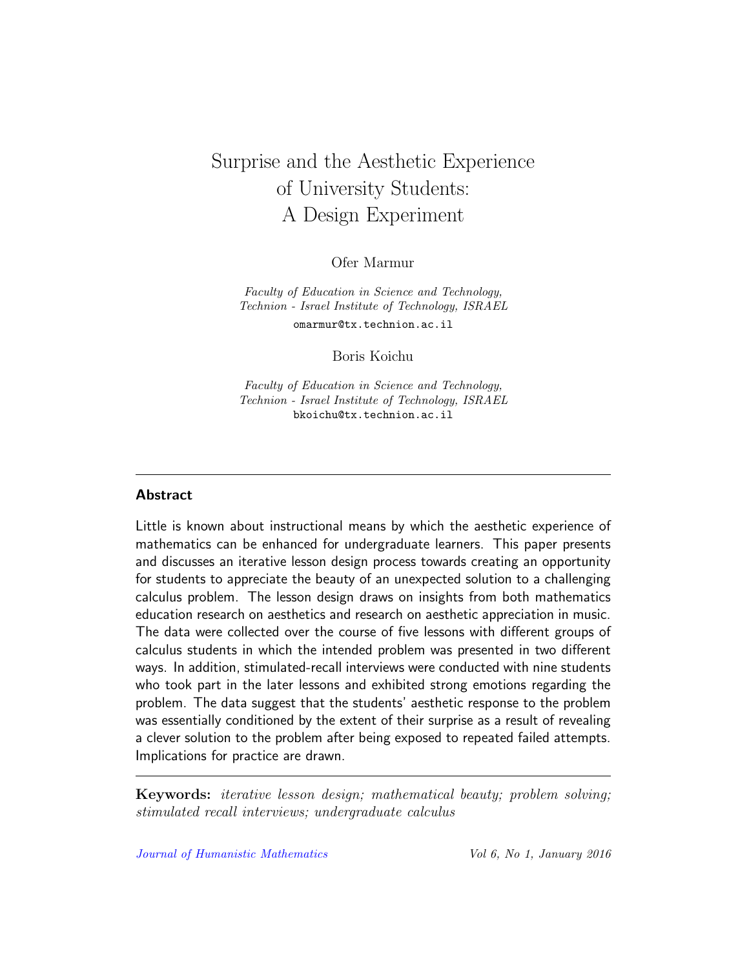## Surprise and the Aesthetic Experience of University Students: A Design Experiment

Ofer Marmur

Faculty of Education in Science and Technology, Technion - Israel Institute of Technology, ISRAEL omarmur@tx.technion.ac.il

Boris Koichu

Faculty of Education in Science and Technology, Technion - Israel Institute of Technology, ISRAEL bkoichu@tx.technion.ac.il

## **Abstract**

Little is known about instructional means by which the aesthetic experience of mathematics can be enhanced for undergraduate learners. This paper presents and discusses an iterative lesson design process towards creating an opportunity for students to appreciate the beauty of an unexpected solution to a challenging calculus problem. The lesson design draws on insights from both mathematics education research on aesthetics and research on aesthetic appreciation in music. The data were collected over the course of five lessons with different groups of calculus students in which the intended problem was presented in two different ways. In addition, stimulated-recall interviews were conducted with nine students who took part in the later lessons and exhibited strong emotions regarding the problem. The data suggest that the students' aesthetic response to the problem was essentially conditioned by the extent of their surprise as a result of revealing a clever solution to the problem after being exposed to repeated failed attempts. Implications for practice are drawn.

Keywords: iterative lesson design; mathematical beauty; problem solving; stimulated recall interviews; undergraduate calculus

[Journal of Humanistic Mathematics](http://scholarship.claremont.edu/jhm/) Vol 6, No 1, January 2016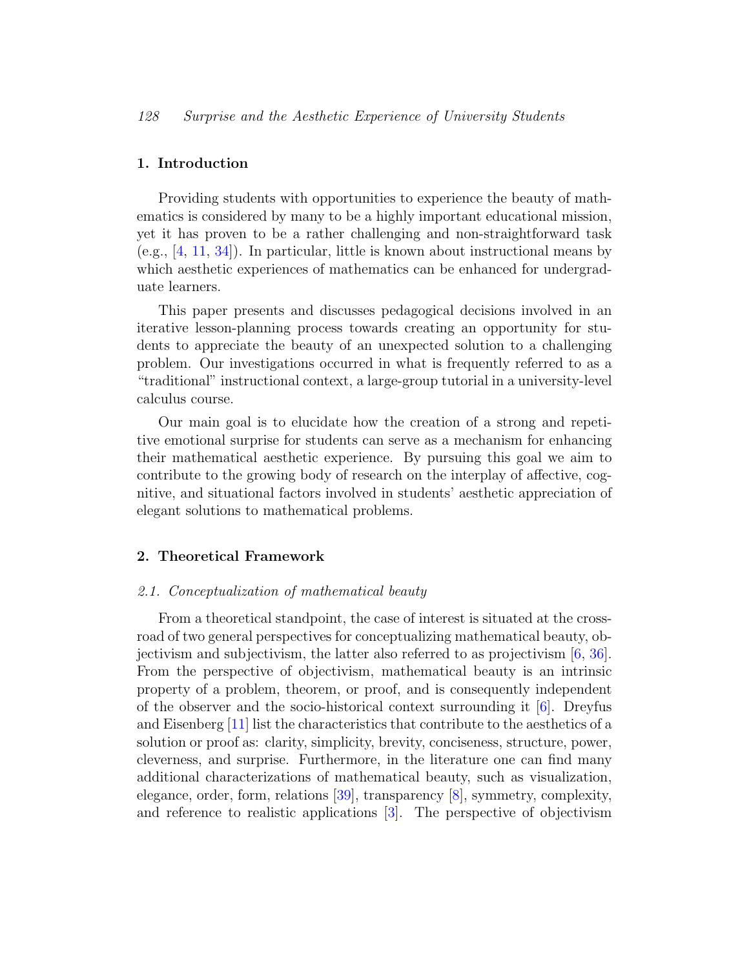#### 1. Introduction

Providing students with opportunities to experience the beauty of mathematics is considered by many to be a highly important educational mission, yet it has proven to be a rather challenging and non-straightforward task (e.g., [\[4,](#page-22-0) [11,](#page-23-0) [34\]](#page-25-0)). In particular, little is known about instructional means by which aesthetic experiences of mathematics can be enhanced for undergraduate learners.

This paper presents and discusses pedagogical decisions involved in an iterative lesson-planning process towards creating an opportunity for students to appreciate the beauty of an unexpected solution to a challenging problem. Our investigations occurred in what is frequently referred to as a "traditional" instructional context, a large-group tutorial in a university-level calculus course.

Our main goal is to elucidate how the creation of a strong and repetitive emotional surprise for students can serve as a mechanism for enhancing their mathematical aesthetic experience. By pursuing this goal we aim to contribute to the growing body of research on the interplay of affective, cognitive, and situational factors involved in students' aesthetic appreciation of elegant solutions to mathematical problems.

#### <span id="page-2-0"></span>2. Theoretical Framework

### <span id="page-2-1"></span>2.1. Conceptualization of mathematical beauty

From a theoretical standpoint, the case of interest is situated at the crossroad of two general perspectives for conceptualizing mathematical beauty, objectivism and subjectivism, the latter also referred to as projectivism [\[6,](#page-22-1) [36\]](#page-25-1). From the perspective of objectivism, mathematical beauty is an intrinsic property of a problem, theorem, or proof, and is consequently independent of the observer and the socio-historical context surrounding it [\[6\]](#page-22-1). Dreyfus and Eisenberg [\[11\]](#page-23-0) list the characteristics that contribute to the aesthetics of a solution or proof as: clarity, simplicity, brevity, conciseness, structure, power, cleverness, and surprise. Furthermore, in the literature one can find many additional characterizations of mathematical beauty, such as visualization, elegance, order, form, relations [\[39\]](#page-25-2), transparency [\[8\]](#page-23-1), symmetry, complexity, and reference to realistic applications [\[3\]](#page-22-2). The perspective of objectivism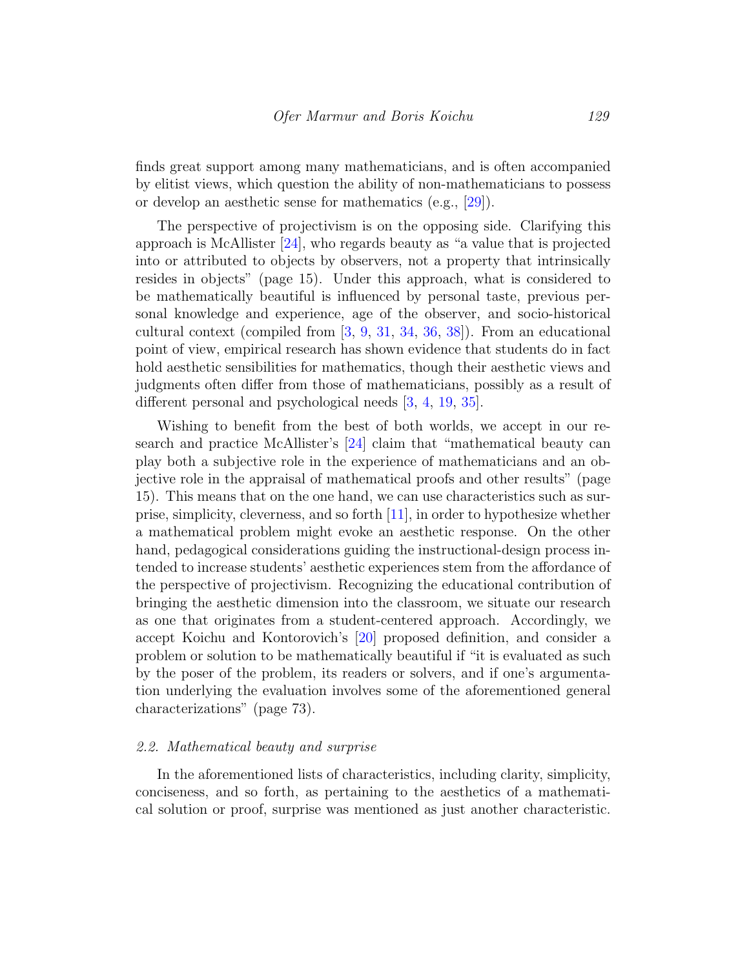finds great support among many mathematicians, and is often accompanied by elitist views, which question the ability of non-mathematicians to possess or develop an aesthetic sense for mathematics (e.g., [\[29\]](#page-25-3)).

The perspective of projectivism is on the opposing side. Clarifying this approach is McAllister  $[24]$ , who regards beauty as "a value that is projected into or attributed to objects by observers, not a property that intrinsically resides in objects" (page 15). Under this approach, what is considered to be mathematically beautiful is influenced by personal taste, previous personal knowledge and experience, age of the observer, and socio-historical cultural context (compiled from [\[3,](#page-22-2) [9,](#page-23-2) [31,](#page-25-4) [34,](#page-25-0) [36,](#page-25-1) [38\]](#page-25-5)). From an educational point of view, empirical research has shown evidence that students do in fact hold aesthetic sensibilities for mathematics, though their aesthetic views and judgments often differ from those of mathematicians, possibly as a result of different personal and psychological needs [\[3,](#page-22-2) [4,](#page-22-0) [19,](#page-24-1) [35\]](#page-25-6).

Wishing to benefit from the best of both worlds, we accept in our research and practice McAllister's [\[24\]](#page-24-0) claim that "mathematical beauty can play both a subjective role in the experience of mathematicians and an objective role in the appraisal of mathematical proofs and other results" (page 15). This means that on the one hand, we can use characteristics such as surprise, simplicity, cleverness, and so forth [\[11\]](#page-23-0), in order to hypothesize whether a mathematical problem might evoke an aesthetic response. On the other hand, pedagogical considerations guiding the instructional-design process intended to increase students' aesthetic experiences stem from the affordance of the perspective of projectivism. Recognizing the educational contribution of bringing the aesthetic dimension into the classroom, we situate our research as one that originates from a student-centered approach. Accordingly, we accept Koichu and Kontorovich's [\[20\]](#page-24-2) proposed definition, and consider a problem or solution to be mathematically beautiful if "it is evaluated as such by the poser of the problem, its readers or solvers, and if one's argumentation underlying the evaluation involves some of the aforementioned general characterizations" (page 73).

#### 2.2. Mathematical beauty and surprise

In the aforementioned lists of characteristics, including clarity, simplicity, conciseness, and so forth, as pertaining to the aesthetics of a mathematical solution or proof, surprise was mentioned as just another characteristic.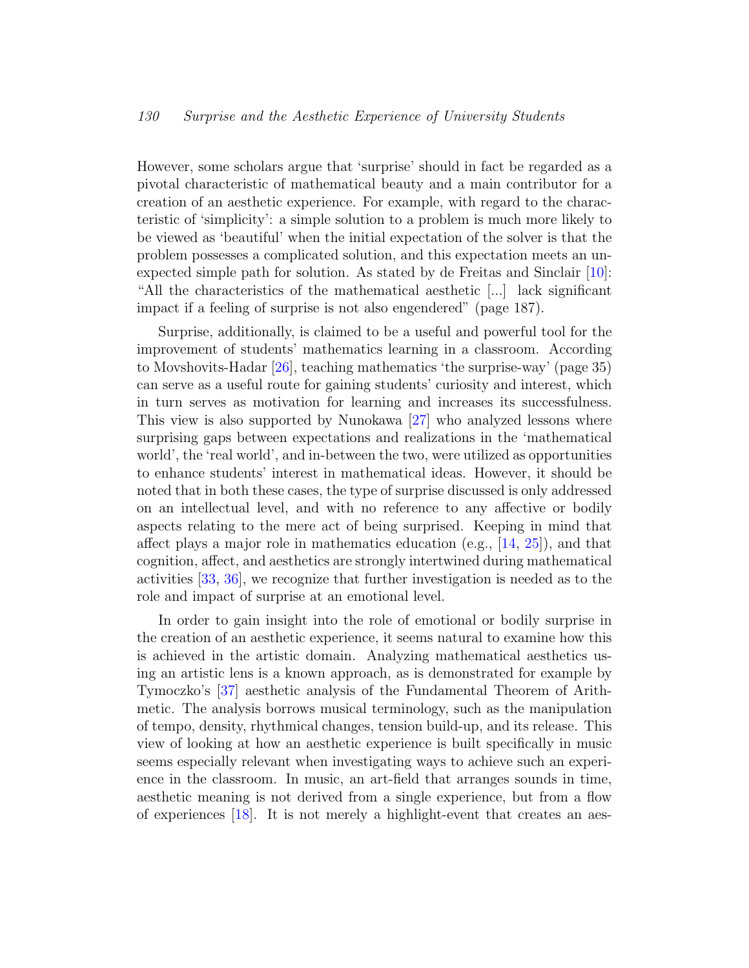However, some scholars argue that 'surprise' should in fact be regarded as a pivotal characteristic of mathematical beauty and a main contributor for a creation of an aesthetic experience. For example, with regard to the characteristic of 'simplicity': a simple solution to a problem is much more likely to be viewed as 'beautiful' when the initial expectation of the solver is that the problem possesses a complicated solution, and this expectation meets an unexpected simple path for solution. As stated by de Freitas and Sinclair [\[10\]](#page-23-3): "All the characteristics of the mathematical aesthetic [...] lack significant impact if a feeling of surprise is not also engendered" (page 187).

Surprise, additionally, is claimed to be a useful and powerful tool for the improvement of students' mathematics learning in a classroom. According to Movshovits-Hadar [\[26\]](#page-24-3), teaching mathematics 'the surprise-way' (page 35) can serve as a useful route for gaining students' curiosity and interest, which in turn serves as motivation for learning and increases its successfulness. This view is also supported by Nunokawa [\[27\]](#page-24-4) who analyzed lessons where surprising gaps between expectations and realizations in the 'mathematical world', the 'real world', and in-between the two, were utilized as opportunities to enhance students' interest in mathematical ideas. However, it should be noted that in both these cases, the type of surprise discussed is only addressed on an intellectual level, and with no reference to any affective or bodily aspects relating to the mere act of being surprised. Keeping in mind that affect plays a major role in mathematics education (e.g., [\[14,](#page-23-4) [25\]](#page-24-5)), and that cognition, affect, and aesthetics are strongly intertwined during mathematical activities [\[33,](#page-25-7) [36\]](#page-25-1), we recognize that further investigation is needed as to the role and impact of surprise at an emotional level.

In order to gain insight into the role of emotional or bodily surprise in the creation of an aesthetic experience, it seems natural to examine how this is achieved in the artistic domain. Analyzing mathematical aesthetics using an artistic lens is a known approach, as is demonstrated for example by Tymoczko's [\[37\]](#page-25-8) aesthetic analysis of the Fundamental Theorem of Arithmetic. The analysis borrows musical terminology, such as the manipulation of tempo, density, rhythmical changes, tension build-up, and its release. This view of looking at how an aesthetic experience is built specifically in music seems especially relevant when investigating ways to achieve such an experience in the classroom. In music, an art-field that arranges sounds in time, aesthetic meaning is not derived from a single experience, but from a flow of experiences [\[18\]](#page-24-6). It is not merely a highlight-event that creates an aes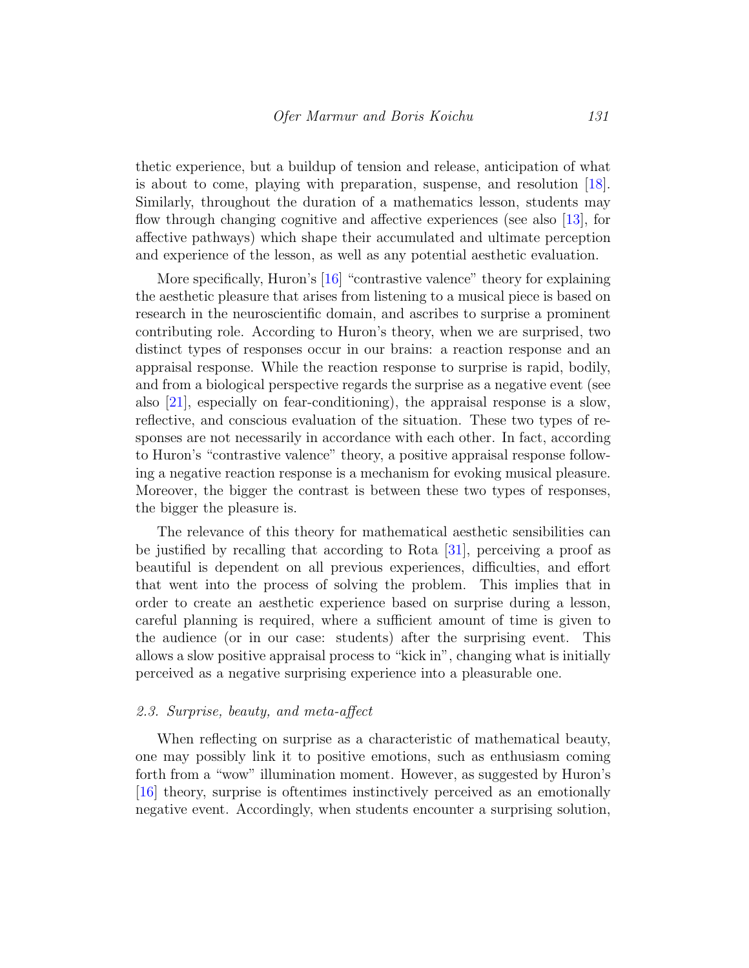thetic experience, but a buildup of tension and release, anticipation of what is about to come, playing with preparation, suspense, and resolution [\[18\]](#page-24-6). Similarly, throughout the duration of a mathematics lesson, students may flow through changing cognitive and affective experiences (see also [\[13\]](#page-23-5), for affective pathways) which shape their accumulated and ultimate perception and experience of the lesson, as well as any potential aesthetic evaluation.

More specifically, Huron's [\[16\]](#page-23-6) "contrastive valence" theory for explaining the aesthetic pleasure that arises from listening to a musical piece is based on research in the neuroscientific domain, and ascribes to surprise a prominent contributing role. According to Huron's theory, when we are surprised, two distinct types of responses occur in our brains: a reaction response and an appraisal response. While the reaction response to surprise is rapid, bodily, and from a biological perspective regards the surprise as a negative event (see also [\[21\]](#page-24-7), especially on fear-conditioning), the appraisal response is a slow, reflective, and conscious evaluation of the situation. These two types of responses are not necessarily in accordance with each other. In fact, according to Huron's "contrastive valence" theory, a positive appraisal response following a negative reaction response is a mechanism for evoking musical pleasure. Moreover, the bigger the contrast is between these two types of responses, the bigger the pleasure is.

The relevance of this theory for mathematical aesthetic sensibilities can be justified by recalling that according to Rota [\[31\]](#page-25-4), perceiving a proof as beautiful is dependent on all previous experiences, difficulties, and effort that went into the process of solving the problem. This implies that in order to create an aesthetic experience based on surprise during a lesson, careful planning is required, where a sufficient amount of time is given to the audience (or in our case: students) after the surprising event. This allows a slow positive appraisal process to "kick in", changing what is initially perceived as a negative surprising experience into a pleasurable one.

#### 2.3. Surprise, beauty, and meta-affect

When reflecting on surprise as a characteristic of mathematical beauty, one may possibly link it to positive emotions, such as enthusiasm coming forth from a "wow" illumination moment. However, as suggested by Huron's [\[16\]](#page-23-6) theory, surprise is oftentimes instinctively perceived as an emotionally negative event. Accordingly, when students encounter a surprising solution,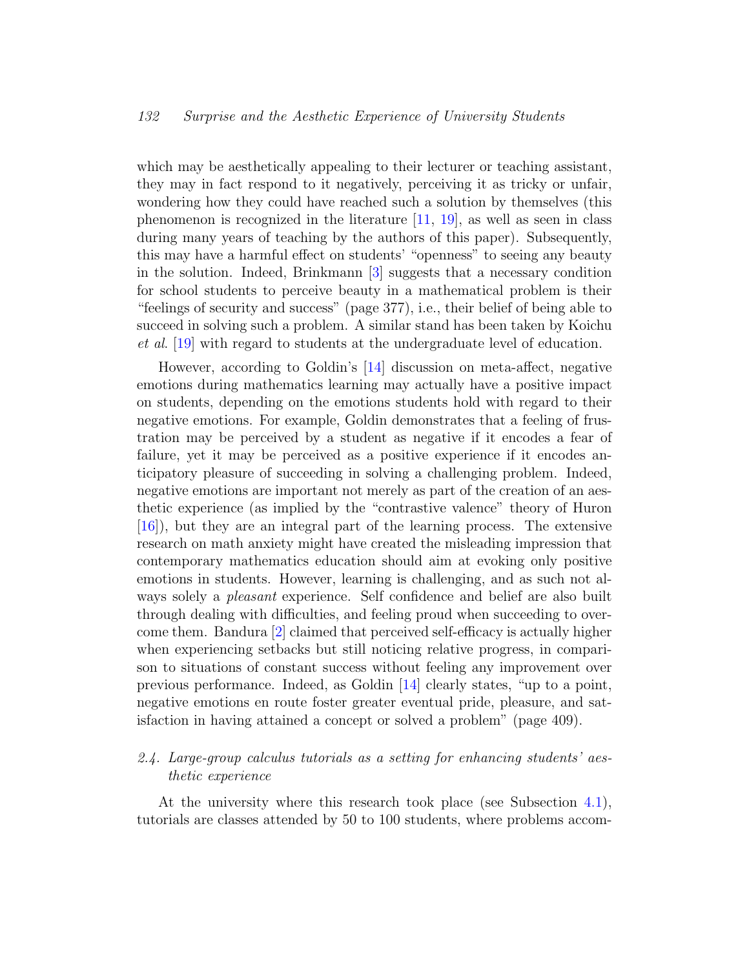which may be aesthetically appealing to their lecturer or teaching assistant, they may in fact respond to it negatively, perceiving it as tricky or unfair, wondering how they could have reached such a solution by themselves (this phenomenon is recognized in the literature  $[11, 19]$  $[11, 19]$  $[11, 19]$ , as well as seen in class during many years of teaching by the authors of this paper). Subsequently, this may have a harmful effect on students' "openness" to seeing any beauty in the solution. Indeed, Brinkmann [\[3\]](#page-22-2) suggests that a necessary condition for school students to perceive beauty in a mathematical problem is their "feelings of security and success" (page 377), i.e., their belief of being able to succeed in solving such a problem. A similar stand has been taken by Koichu et al. [\[19\]](#page-24-1) with regard to students at the undergraduate level of education.

However, according to Goldin's [\[14\]](#page-23-4) discussion on meta-affect, negative emotions during mathematics learning may actually have a positive impact on students, depending on the emotions students hold with regard to their negative emotions. For example, Goldin demonstrates that a feeling of frustration may be perceived by a student as negative if it encodes a fear of failure, yet it may be perceived as a positive experience if it encodes anticipatory pleasure of succeeding in solving a challenging problem. Indeed, negative emotions are important not merely as part of the creation of an aesthetic experience (as implied by the "contrastive valence" theory of Huron [\[16\]](#page-23-6)), but they are an integral part of the learning process. The extensive research on math anxiety might have created the misleading impression that contemporary mathematics education should aim at evoking only positive emotions in students. However, learning is challenging, and as such not always solely a *pleasant* experience. Self confidence and belief are also built through dealing with difficulties, and feeling proud when succeeding to overcome them. Bandura [\[2\]](#page-22-3) claimed that perceived self-efficacy is actually higher when experiencing setbacks but still noticing relative progress, in comparison to situations of constant success without feeling any improvement over previous performance. Indeed, as Goldin [\[14\]](#page-23-4) clearly states, "up to a point, negative emotions en route foster greater eventual pride, pleasure, and satisfaction in having attained a concept or solved a problem" (page 409).

## 2.4. Large-group calculus tutorials as a setting for enhancing students' aesthetic experience

At the university where this research took place (see Subsection [4.1\)](#page-9-0), tutorials are classes attended by 50 to 100 students, where problems accom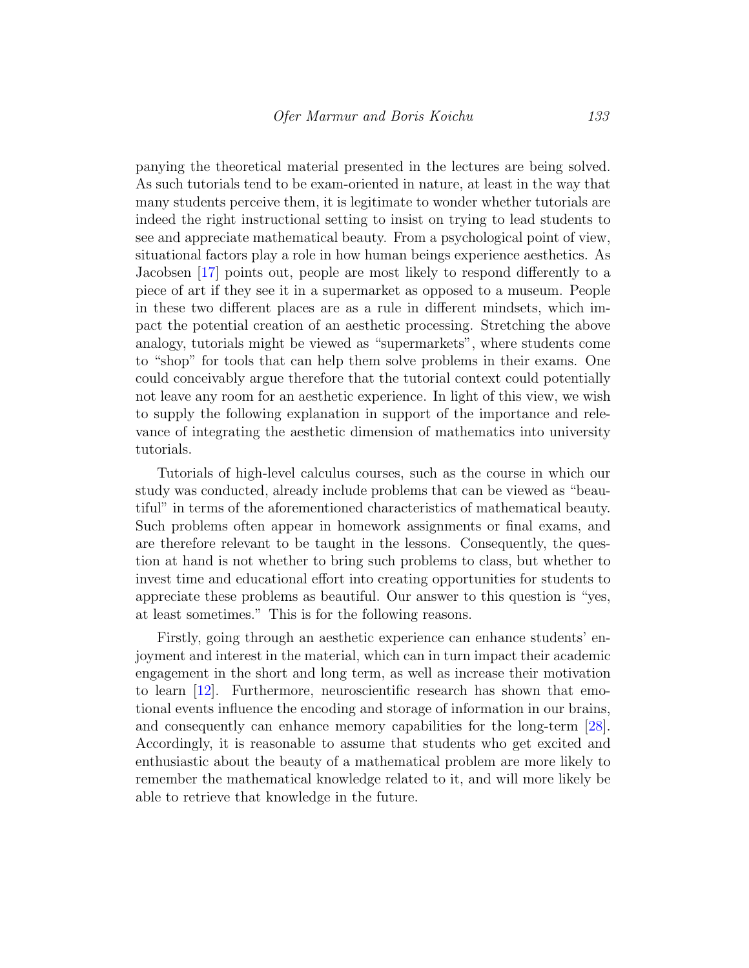panying the theoretical material presented in the lectures are being solved. As such tutorials tend to be exam-oriented in nature, at least in the way that many students perceive them, it is legitimate to wonder whether tutorials are indeed the right instructional setting to insist on trying to lead students to see and appreciate mathematical beauty. From a psychological point of view, situational factors play a role in how human beings experience aesthetics. As Jacobsen [\[17\]](#page-23-7) points out, people are most likely to respond differently to a piece of art if they see it in a supermarket as opposed to a museum. People in these two different places are as a rule in different mindsets, which impact the potential creation of an aesthetic processing. Stretching the above analogy, tutorials might be viewed as "supermarkets", where students come to "shop" for tools that can help them solve problems in their exams. One could conceivably argue therefore that the tutorial context could potentially not leave any room for an aesthetic experience. In light of this view, we wish to supply the following explanation in support of the importance and relevance of integrating the aesthetic dimension of mathematics into university tutorials.

Tutorials of high-level calculus courses, such as the course in which our study was conducted, already include problems that can be viewed as "beautiful" in terms of the aforementioned characteristics of mathematical beauty. Such problems often appear in homework assignments or final exams, and are therefore relevant to be taught in the lessons. Consequently, the question at hand is not whether to bring such problems to class, but whether to invest time and educational effort into creating opportunities for students to appreciate these problems as beautiful. Our answer to this question is "yes, at least sometimes." This is for the following reasons.

Firstly, going through an aesthetic experience can enhance students' enjoyment and interest in the material, which can in turn impact their academic engagement in the short and long term, as well as increase their motivation to learn [\[12\]](#page-23-8). Furthermore, neuroscientific research has shown that emotional events influence the encoding and storage of information in our brains, and consequently can enhance memory capabilities for the long-term [\[28\]](#page-25-9). Accordingly, it is reasonable to assume that students who get excited and enthusiastic about the beauty of a mathematical problem are more likely to remember the mathematical knowledge related to it, and will more likely be able to retrieve that knowledge in the future.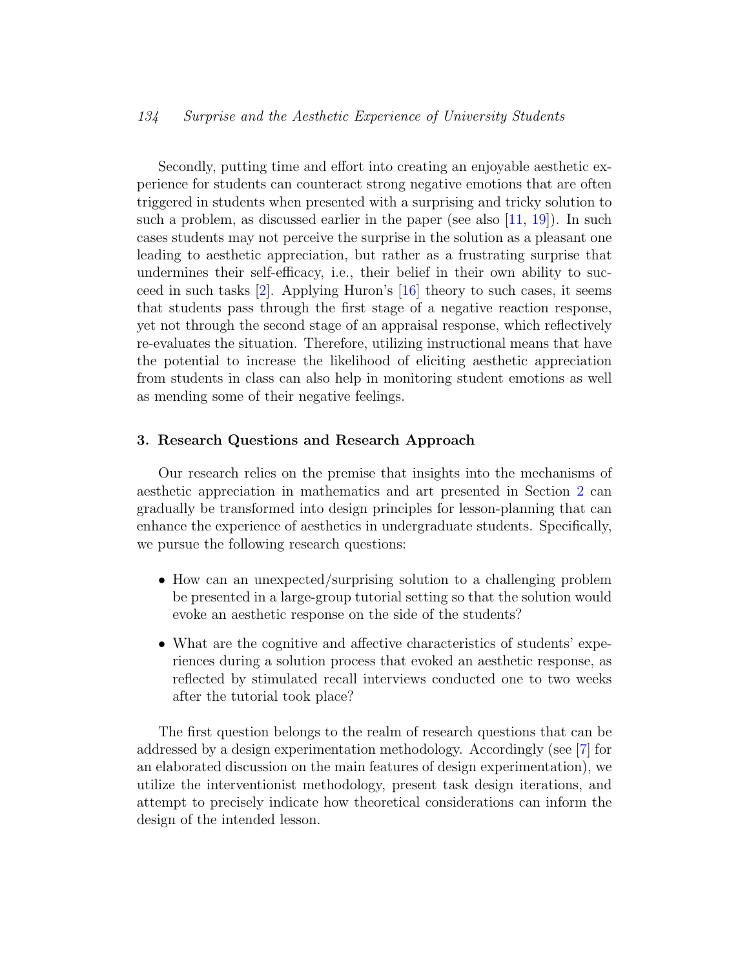Secondly, putting time and effort into creating an enjoyable aesthetic experience for students can counteract strong negative emotions that are often triggered in students when presented with a surprising and tricky solution to such a problem, as discussed earlier in the paper (see also  $[11, 19]$  $[11, 19]$  $[11, 19]$ ). In such cases students may not perceive the surprise in the solution as a pleasant one leading to aesthetic appreciation, but rather as a frustrating surprise that undermines their self-efficacy, i.e., their belief in their own ability to succeed in such tasks  $[2]$ . Applying Huron's  $[16]$  theory to such cases, it seems that students pass through the first stage of a negative reaction response, yet not through the second stage of an appraisal response, which reflectively re-evaluates the situation. Therefore, utilizing instructional means that have the potential to increase the likelihood of eliciting aesthetic appreciation from students in class can also help in monitoring student emotions as well as mending some of their negative feelings.

#### 3. Research Questions and Research Approach

Our research relies on the premise that insights into the mechanisms of aesthetic appreciation in mathematics and art presented in Section [2](#page-2-0) can gradually be transformed into design principles for lesson-planning that can enhance the experience of aesthetics in undergraduate students. Specifically, we pursue the following research questions:

- How can an unexpected/surprising solution to a challenging problem be presented in a large-group tutorial setting so that the solution would evoke an aesthetic response on the side of the students?
- What are the cognitive and affective characteristics of students' experiences during a solution process that evoked an aesthetic response, as reflected by stimulated recall interviews conducted one to two weeks after the tutorial took place?

The first question belongs to the realm of research questions that can be addressed by a design experimentation methodology. Accordingly (see [\[7\]](#page-23-9) for an elaborated discussion on the main features of design experimentation), we utilize the interventionist methodology, present task design iterations, and attempt to precisely indicate how theoretical considerations can inform the design of the intended lesson.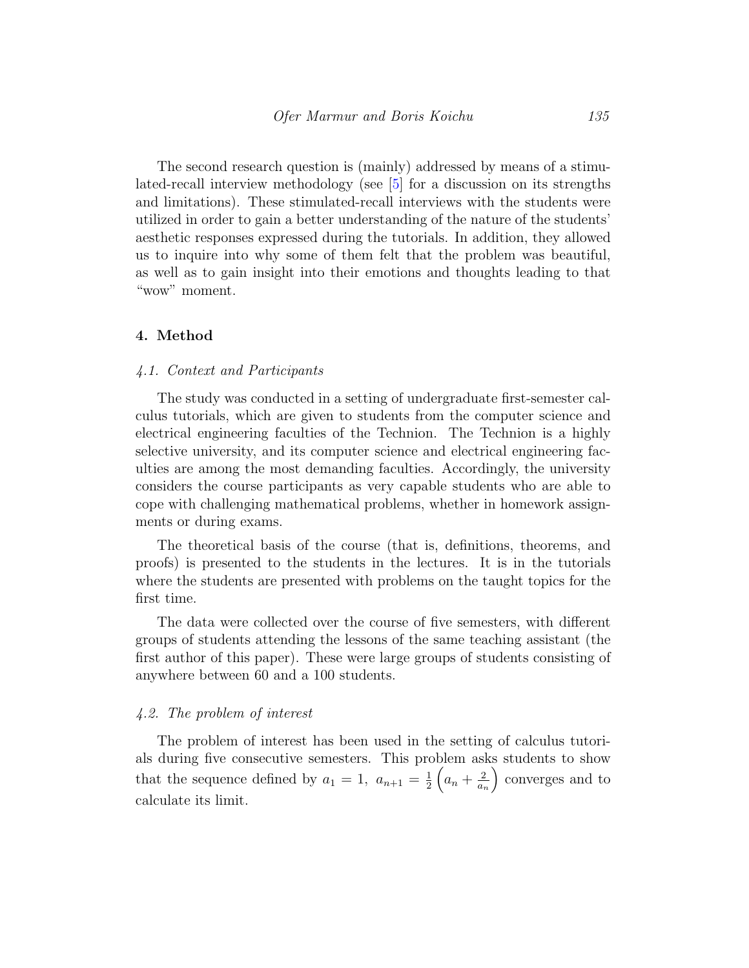The second research question is (mainly) addressed by means of a stimulated-recall interview methodology (see [\[5\]](#page-22-4) for a discussion on its strengths and limitations). These stimulated-recall interviews with the students were utilized in order to gain a better understanding of the nature of the students' aesthetic responses expressed during the tutorials. In addition, they allowed us to inquire into why some of them felt that the problem was beautiful, as well as to gain insight into their emotions and thoughts leading to that "wow" moment.

#### 4. Method

#### <span id="page-9-0"></span>4.1. Context and Participants

The study was conducted in a setting of undergraduate first-semester calculus tutorials, which are given to students from the computer science and electrical engineering faculties of the Technion. The Technion is a highly selective university, and its computer science and electrical engineering faculties are among the most demanding faculties. Accordingly, the university considers the course participants as very capable students who are able to cope with challenging mathematical problems, whether in homework assignments or during exams.

The theoretical basis of the course (that is, definitions, theorems, and proofs) is presented to the students in the lectures. It is in the tutorials where the students are presented with problems on the taught topics for the first time.

The data were collected over the course of five semesters, with different groups of students attending the lessons of the same teaching assistant (the first author of this paper). These were large groups of students consisting of anywhere between 60 and a 100 students.

#### 4.2. The problem of interest

The problem of interest has been used in the setting of calculus tutorials during five consecutive semesters. This problem asks students to show that the sequence defined by  $a_1 = 1, a_{n+1} = \frac{1}{2}$  $rac{1}{2}\left(a_n+\frac{2}{a_n}\right)$ an converges and to calculate its limit.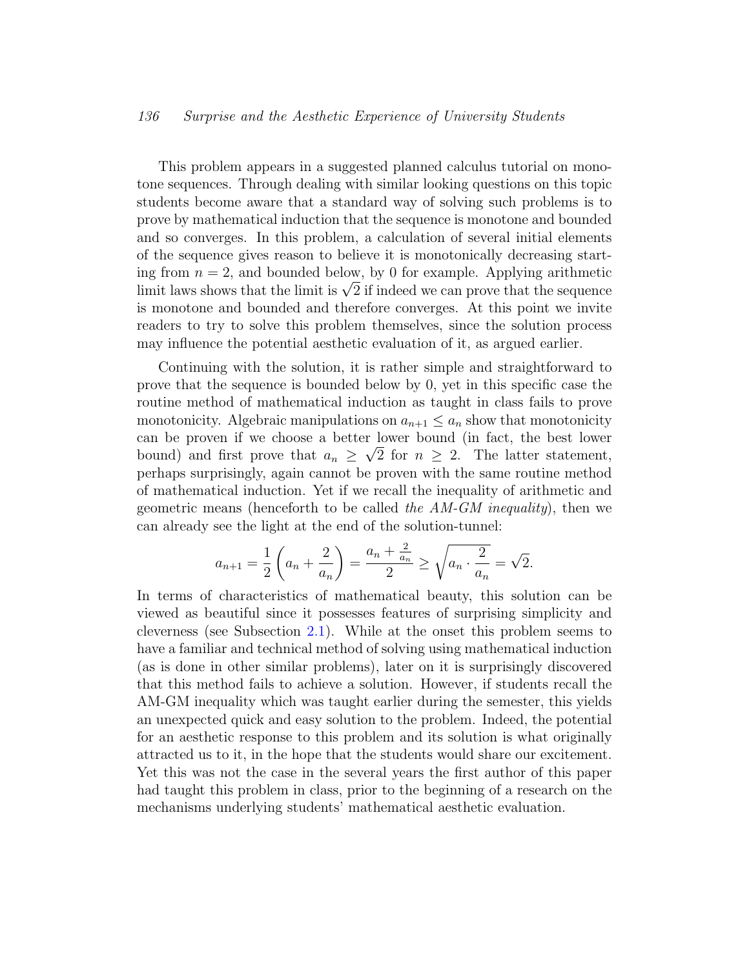This problem appears in a suggested planned calculus tutorial on monotone sequences. Through dealing with similar looking questions on this topic students become aware that a standard way of solving such problems is to prove by mathematical induction that the sequence is monotone and bounded and so converges. In this problem, a calculation of several initial elements of the sequence gives reason to believe it is monotonically decreasing starting from  $n = 2$ , and bounded below, by 0 for example. Applying arithmetic ing from  $n = 2$ , and bounded below, by 0 for example. Applying arithmetic limit laws shows that the limit is  $\sqrt{2}$  if indeed we can prove that the sequence is monotone and bounded and therefore converges. At this point we invite readers to try to solve this problem themselves, since the solution process may influence the potential aesthetic evaluation of it, as argued earlier.

Continuing with the solution, it is rather simple and straightforward to prove that the sequence is bounded below by 0, yet in this specific case the routine method of mathematical induction as taught in class fails to prove monotonicity. Algebraic manipulations on  $a_{n+1} \leq a_n$  show that monotonicity can be proven if we choose a better lower bound (in fact, the best lower bound) and first prove that  $a_n \geq \sqrt{2}$  for  $n \geq 2$ . The latter statement, perhaps surprisingly, again cannot be proven with the same routine method of mathematical induction. Yet if we recall the inequality of arithmetic and geometric means (henceforth to be called the  $AM-GM$  inequality), then we can already see the light at the end of the solution-tunnel:

$$
a_{n+1} = \frac{1}{2} \left( a_n + \frac{2}{a_n} \right) = \frac{a_n + \frac{2}{a_n}}{2} \ge \sqrt{a_n \cdot \frac{2}{a_n}} = \sqrt{2}.
$$

In terms of characteristics of mathematical beauty, this solution can be viewed as beautiful since it possesses features of surprising simplicity and cleverness (see Subsection [2.1\)](#page-2-1). While at the onset this problem seems to have a familiar and technical method of solving using mathematical induction (as is done in other similar problems), later on it is surprisingly discovered that this method fails to achieve a solution. However, if students recall the AM-GM inequality which was taught earlier during the semester, this yields an unexpected quick and easy solution to the problem. Indeed, the potential for an aesthetic response to this problem and its solution is what originally attracted us to it, in the hope that the students would share our excitement. Yet this was not the case in the several years the first author of this paper had taught this problem in class, prior to the beginning of a research on the mechanisms underlying students' mathematical aesthetic evaluation.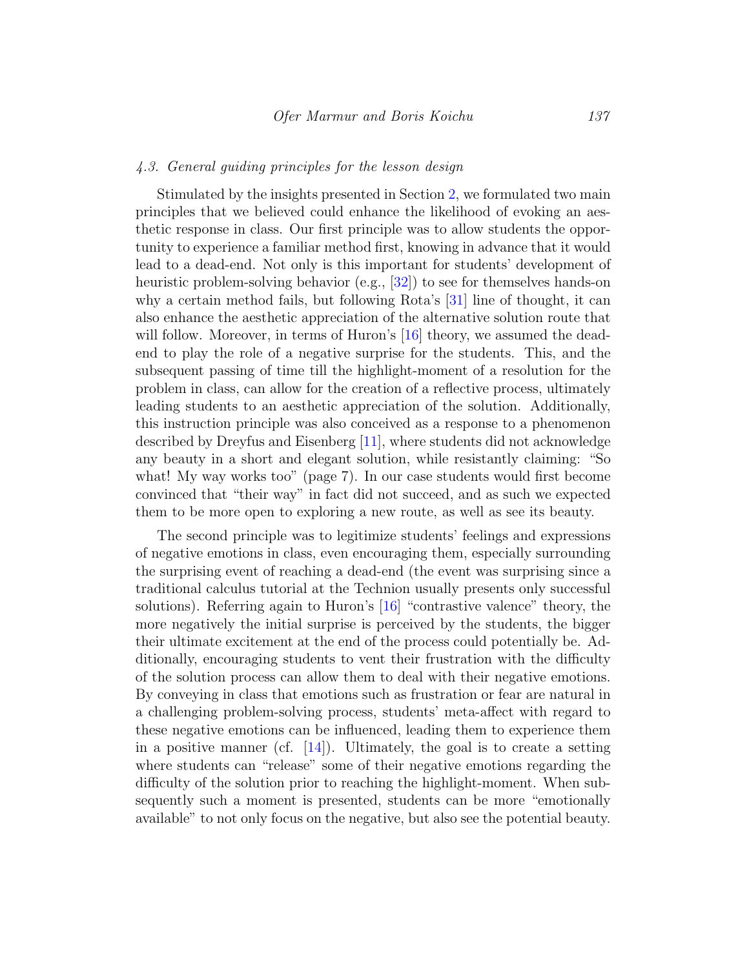#### 4.3. General guiding principles for the lesson design

Stimulated by the insights presented in Section [2,](#page-2-0) we formulated two main principles that we believed could enhance the likelihood of evoking an aesthetic response in class. Our first principle was to allow students the opportunity to experience a familiar method first, knowing in advance that it would lead to a dead-end. Not only is this important for students' development of heuristic problem-solving behavior (e.g., [\[32\]](#page-25-10)) to see for themselves hands-on why a certain method fails, but following Rota's [\[31\]](#page-25-4) line of thought, it can also enhance the aesthetic appreciation of the alternative solution route that will follow. Moreover, in terms of Huron's [\[16\]](#page-23-6) theory, we assumed the deadend to play the role of a negative surprise for the students. This, and the subsequent passing of time till the highlight-moment of a resolution for the problem in class, can allow for the creation of a reflective process, ultimately leading students to an aesthetic appreciation of the solution. Additionally, this instruction principle was also conceived as a response to a phenomenon described by Dreyfus and Eisenberg [\[11\]](#page-23-0), where students did not acknowledge any beauty in a short and elegant solution, while resistantly claiming: "So what! My way works too" (page 7). In our case students would first become convinced that "their way" in fact did not succeed, and as such we expected them to be more open to exploring a new route, as well as see its beauty.

<span id="page-11-0"></span>The second principle was to legitimize students' feelings and expressions of negative emotions in class, even encouraging them, especially surrounding the surprising event of reaching a dead-end (the event was surprising since a traditional calculus tutorial at the Technion usually presents only successful solutions). Referring again to Huron's [\[16\]](#page-23-6) "contrastive valence" theory, the more negatively the initial surprise is perceived by the students, the bigger their ultimate excitement at the end of the process could potentially be. Additionally, encouraging students to vent their frustration with the difficulty of the solution process can allow them to deal with their negative emotions. By conveying in class that emotions such as frustration or fear are natural in a challenging problem-solving process, students' meta-affect with regard to these negative emotions can be influenced, leading them to experience them in a positive manner (cf.  $[14]$ ). Ultimately, the goal is to create a setting where students can "release" some of their negative emotions regarding the difficulty of the solution prior to reaching the highlight-moment. When subsequently such a moment is presented, students can be more "emotionally available" to not only focus on the negative, but also see the potential beauty.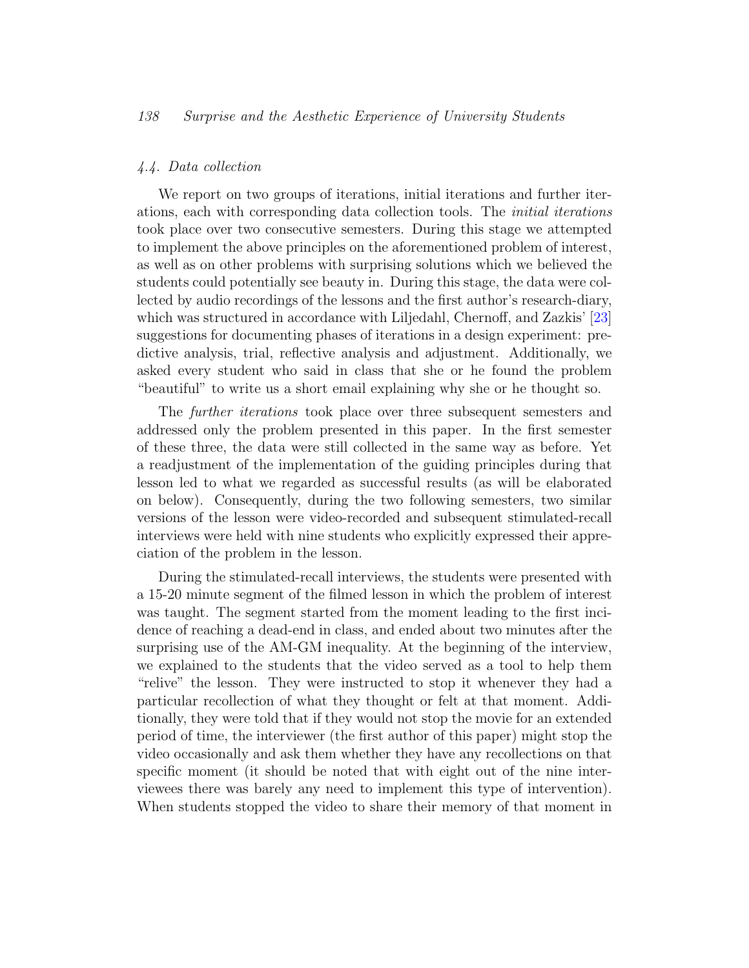#### 4.4. Data collection

We report on two groups of iterations, initial iterations and further iterations, each with corresponding data collection tools. The initial iterations took place over two consecutive semesters. During this stage we attempted to implement the above principles on the aforementioned problem of interest, as well as on other problems with surprising solutions which we believed the students could potentially see beauty in. During this stage, the data were collected by audio recordings of the lessons and the first author's research-diary, which was structured in accordance with Liljedahl, Chernoff, and Zazkis' [\[23\]](#page-24-8) suggestions for documenting phases of iterations in a design experiment: predictive analysis, trial, reflective analysis and adjustment. Additionally, we asked every student who said in class that she or he found the problem "beautiful" to write us a short email explaining why she or he thought so.

The further iterations took place over three subsequent semesters and addressed only the problem presented in this paper. In the first semester of these three, the data were still collected in the same way as before. Yet a readjustment of the implementation of the guiding principles during that lesson led to what we regarded as successful results (as will be elaborated on below). Consequently, during the two following semesters, two similar versions of the lesson were video-recorded and subsequent stimulated-recall interviews were held with nine students who explicitly expressed their appreciation of the problem in the lesson.

During the stimulated-recall interviews, the students were presented with a 15-20 minute segment of the filmed lesson in which the problem of interest was taught. The segment started from the moment leading to the first incidence of reaching a dead-end in class, and ended about two minutes after the surprising use of the AM-GM inequality. At the beginning of the interview, we explained to the students that the video served as a tool to help them "relive" the lesson. They were instructed to stop it whenever they had a particular recollection of what they thought or felt at that moment. Additionally, they were told that if they would not stop the movie for an extended period of time, the interviewer (the first author of this paper) might stop the video occasionally and ask them whether they have any recollections on that specific moment (it should be noted that with eight out of the nine interviewees there was barely any need to implement this type of intervention). When students stopped the video to share their memory of that moment in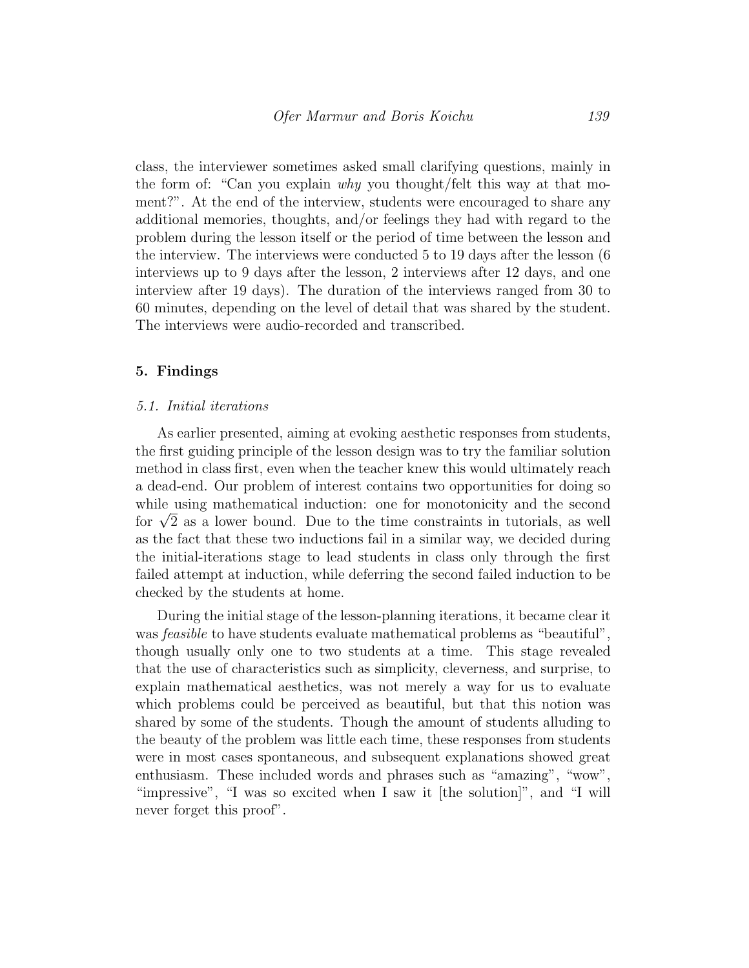class, the interviewer sometimes asked small clarifying questions, mainly in the form of: "Can you explain why you thought/felt this way at that moment?". At the end of the interview, students were encouraged to share any additional memories, thoughts, and/or feelings they had with regard to the problem during the lesson itself or the period of time between the lesson and the interview. The interviews were conducted 5 to 19 days after the lesson (6 interviews up to 9 days after the lesson, 2 interviews after 12 days, and one interview after 19 days). The duration of the interviews ranged from 30 to 60 minutes, depending on the level of detail that was shared by the student. The interviews were audio-recorded and transcribed.

#### 5. Findings

#### 5.1. Initial iterations

As earlier presented, aiming at evoking aesthetic responses from students, the first guiding principle of the lesson design was to try the familiar solution method in class first, even when the teacher knew this would ultimately reach a dead-end. Our problem of interest contains two opportunities for doing so while using mathematical induction: one for monotonicity and the second while using mathematical induction: one for monotonicity and the second<br>for  $\sqrt{2}$  as a lower bound. Due to the time constraints in tutorials, as well as the fact that these two inductions fail in a similar way, we decided during the initial-iterations stage to lead students in class only through the first failed attempt at induction, while deferring the second failed induction to be checked by the students at home.

During the initial stage of the lesson-planning iterations, it became clear it was *feasible* to have students evaluate mathematical problems as "beautiful", though usually only one to two students at a time. This stage revealed that the use of characteristics such as simplicity, cleverness, and surprise, to explain mathematical aesthetics, was not merely a way for us to evaluate which problems could be perceived as beautiful, but that this notion was shared by some of the students. Though the amount of students alluding to the beauty of the problem was little each time, these responses from students were in most cases spontaneous, and subsequent explanations showed great enthusiasm. These included words and phrases such as "amazing", "wow", "impressive", "I was so excited when I saw it [the solution]", and "I will never forget this proof".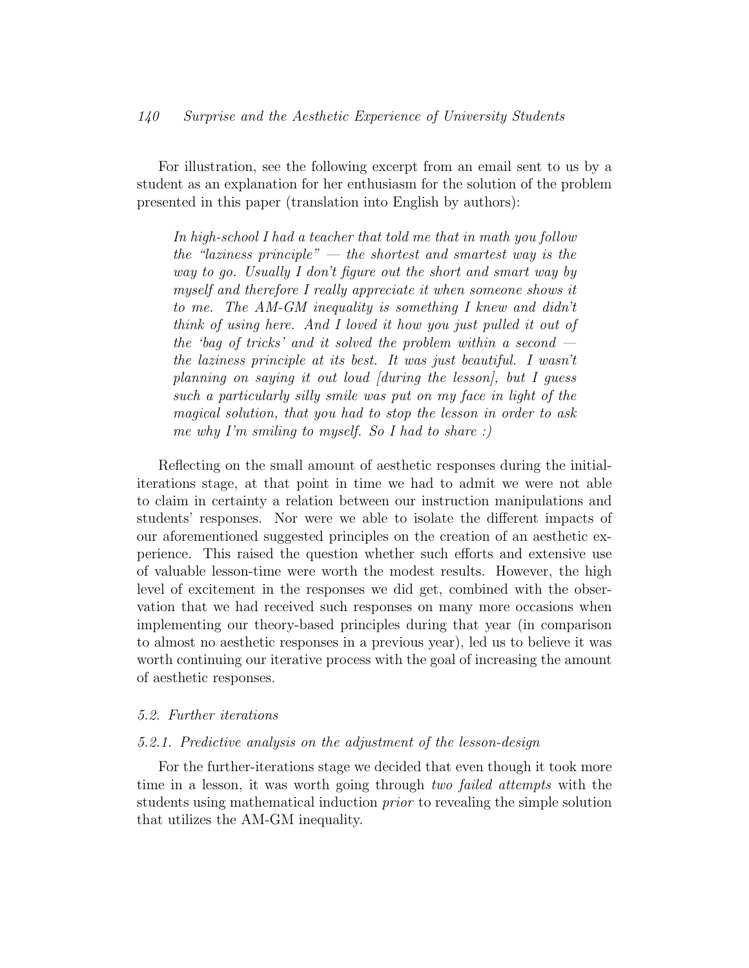For illustration, see the following excerpt from an email sent to us by a student as an explanation for her enthusiasm for the solution of the problem presented in this paper (translation into English by authors):

In high-school I had a teacher that told me that in math you follow the "laziness principle"  $-$  the shortest and smartest way is the way to go. Usually I don't figure out the short and smart way by myself and therefore I really appreciate it when someone shows it to me. The AM-GM inequality is something I knew and didn't think of using here. And I loved it how you just pulled it out of the 'bag of tricks' and it solved the problem within a second  $$ the laziness principle at its best. It was just beautiful. I wasn't planning on saying it out loud [during the lesson], but I guess such a particularly silly smile was put on my face in light of the magical solution, that you had to stop the lesson in order to ask me why I'm smiling to myself. So I had to share :)

Reflecting on the small amount of aesthetic responses during the initialiterations stage, at that point in time we had to admit we were not able to claim in certainty a relation between our instruction manipulations and students' responses. Nor were we able to isolate the different impacts of our aforementioned suggested principles on the creation of an aesthetic experience. This raised the question whether such efforts and extensive use of valuable lesson-time were worth the modest results. However, the high level of excitement in the responses we did get, combined with the observation that we had received such responses on many more occasions when implementing our theory-based principles during that year (in comparison to almost no aesthetic responses in a previous year), led us to believe it was worth continuing our iterative process with the goal of increasing the amount of aesthetic responses.

#### 5.2. Further iterations

#### 5.2.1. Predictive analysis on the adjustment of the lesson-design

For the further-iterations stage we decided that even though it took more time in a lesson, it was worth going through two failed attempts with the students using mathematical induction prior to revealing the simple solution that utilizes the AM-GM inequality.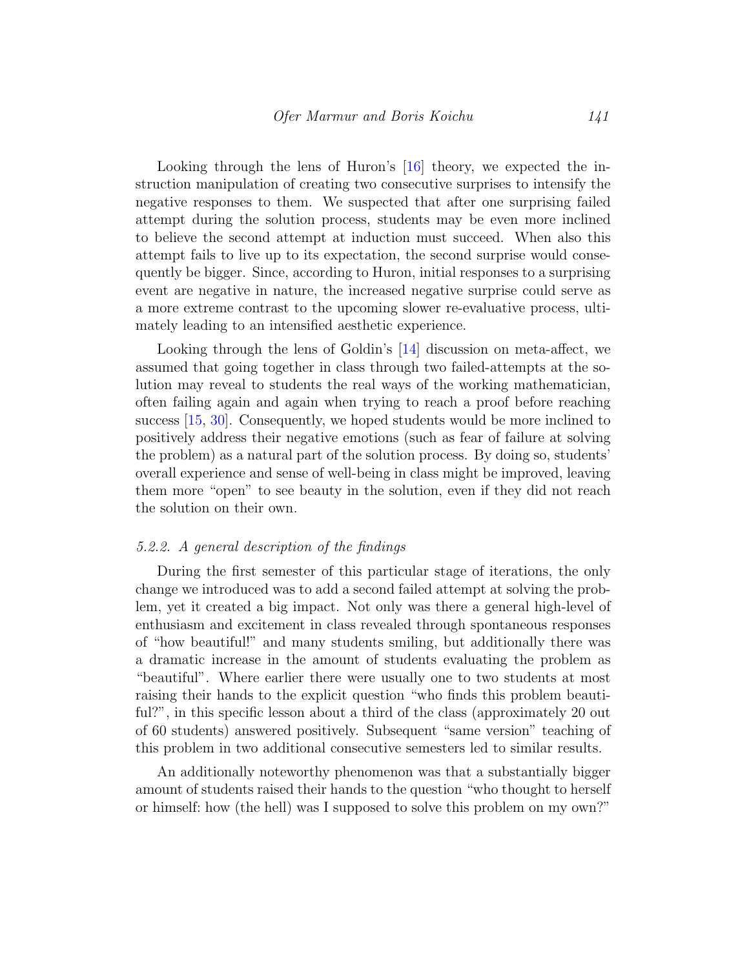Looking through the lens of Huron's [\[16\]](#page-23-6) theory, we expected the instruction manipulation of creating two consecutive surprises to intensify the negative responses to them. We suspected that after one surprising failed attempt during the solution process, students may be even more inclined to believe the second attempt at induction must succeed. When also this attempt fails to live up to its expectation, the second surprise would consequently be bigger. Since, according to Huron, initial responses to a surprising event are negative in nature, the increased negative surprise could serve as a more extreme contrast to the upcoming slower re-evaluative process, ultimately leading to an intensified aesthetic experience.

Looking through the lens of Goldin's [\[14\]](#page-23-4) discussion on meta-affect, we assumed that going together in class through two failed-attempts at the solution may reveal to students the real ways of the working mathematician, often failing again and again when trying to reach a proof before reaching success [\[15,](#page-23-10) [30\]](#page-25-11). Consequently, we hoped students would be more inclined to positively address their negative emotions (such as fear of failure at solving the problem) as a natural part of the solution process. By doing so, students' overall experience and sense of well-being in class might be improved, leaving them more "open" to see beauty in the solution, even if they did not reach the solution on their own.

#### 5.2.2. A general description of the findings

During the first semester of this particular stage of iterations, the only change we introduced was to add a second failed attempt at solving the problem, yet it created a big impact. Not only was there a general high-level of enthusiasm and excitement in class revealed through spontaneous responses of "how beautiful!" and many students smiling, but additionally there was a dramatic increase in the amount of students evaluating the problem as "beautiful". Where earlier there were usually one to two students at most raising their hands to the explicit question "who finds this problem beautiful?", in this specific lesson about a third of the class (approximately 20 out of 60 students) answered positively. Subsequent "same version" teaching of this problem in two additional consecutive semesters led to similar results.

An additionally noteworthy phenomenon was that a substantially bigger amount of students raised their hands to the question "who thought to herself or himself: how (the hell) was I supposed to solve this problem on my own?"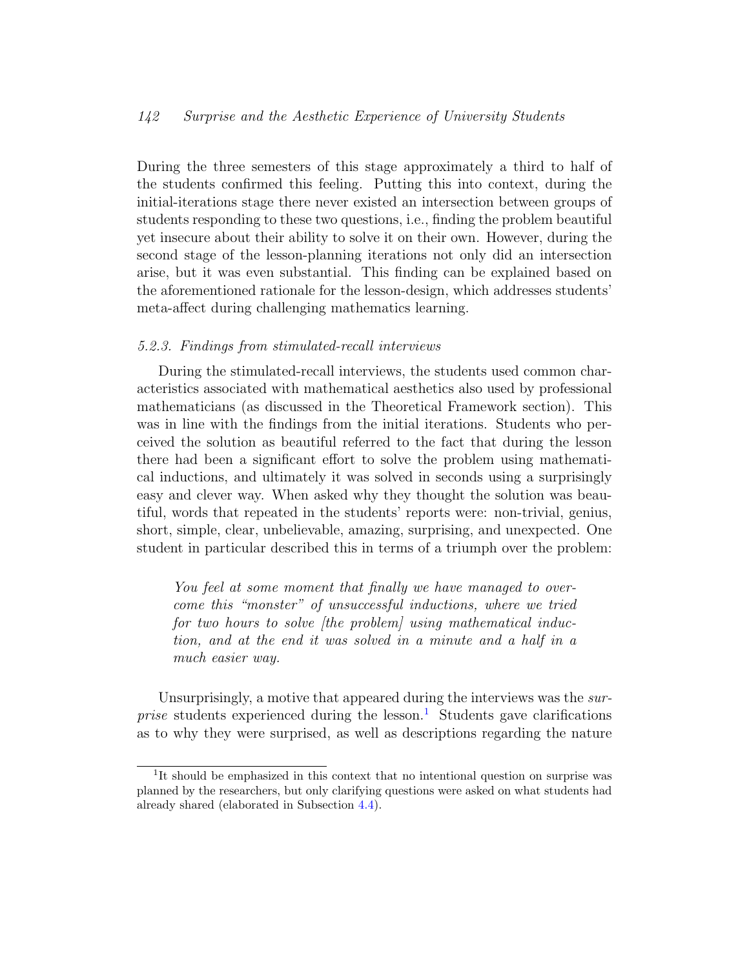During the three semesters of this stage approximately a third to half of the students confirmed this feeling. Putting this into context, during the initial-iterations stage there never existed an intersection between groups of students responding to these two questions, i.e., finding the problem beautiful yet insecure about their ability to solve it on their own. However, during the second stage of the lesson-planning iterations not only did an intersection arise, but it was even substantial. This finding can be explained based on the aforementioned rationale for the lesson-design, which addresses students' meta-affect during challenging mathematics learning.

#### 5.2.3. Findings from stimulated-recall interviews

During the stimulated-recall interviews, the students used common characteristics associated with mathematical aesthetics also used by professional mathematicians (as discussed in the Theoretical Framework section). This was in line with the findings from the initial iterations. Students who perceived the solution as beautiful referred to the fact that during the lesson there had been a significant effort to solve the problem using mathematical inductions, and ultimately it was solved in seconds using a surprisingly easy and clever way. When asked why they thought the solution was beautiful, words that repeated in the students' reports were: non-trivial, genius, short, simple, clear, unbelievable, amazing, surprising, and unexpected. One student in particular described this in terms of a triumph over the problem:

You feel at some moment that finally we have managed to overcome this "monster" of unsuccessful inductions, where we tried for two hours to solve (the problem) using mathematical induction, and at the end it was solved in a minute and a half in a much easier way.

Unsurprisingly, a motive that appeared during the interviews was the *surprise* students experienced during the lesson.<sup>[1](#page-16-0)</sup> Students gave clarifications as to why they were surprised, as well as descriptions regarding the nature

<span id="page-16-0"></span><sup>&</sup>lt;sup>1</sup>It should be emphasized in this context that no intentional question on surprise was planned by the researchers, but only clarifying questions were asked on what students had already shared (elaborated in Subsection [4.4\)](#page-11-0).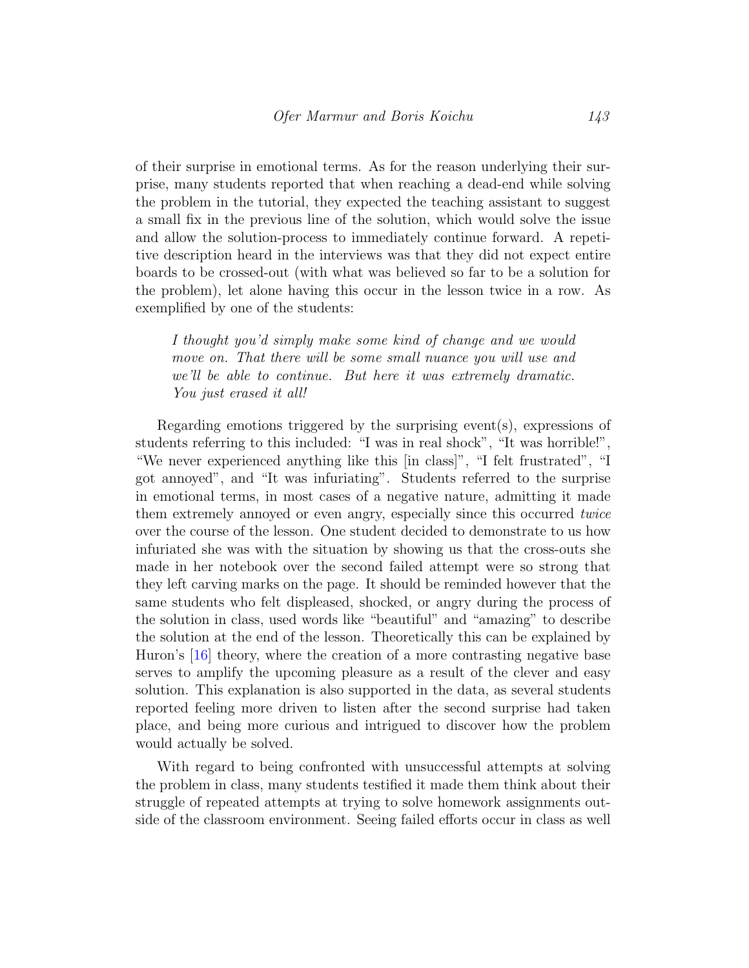of their surprise in emotional terms. As for the reason underlying their surprise, many students reported that when reaching a dead-end while solving the problem in the tutorial, they expected the teaching assistant to suggest a small fix in the previous line of the solution, which would solve the issue and allow the solution-process to immediately continue forward. A repetitive description heard in the interviews was that they did not expect entire boards to be crossed-out (with what was believed so far to be a solution for the problem), let alone having this occur in the lesson twice in a row. As exemplified by one of the students:

I thought you'd simply make some kind of change and we would move on. That there will be some small nuance you will use and we'll be able to continue. But here it was extremely dramatic. You just erased it all!

Regarding emotions triggered by the surprising event(s), expressions of students referring to this included: "I was in real shock", "It was horrible!", "We never experienced anything like this [in class]", "I felt frustrated", "I got annoyed", and "It was infuriating". Students referred to the surprise in emotional terms, in most cases of a negative nature, admitting it made them extremely annoyed or even angry, especially since this occurred twice over the course of the lesson. One student decided to demonstrate to us how infuriated she was with the situation by showing us that the cross-outs she made in her notebook over the second failed attempt were so strong that they left carving marks on the page. It should be reminded however that the same students who felt displeased, shocked, or angry during the process of the solution in class, used words like "beautiful" and "amazing" to describe the solution at the end of the lesson. Theoretically this can be explained by Huron's [\[16\]](#page-23-6) theory, where the creation of a more contrasting negative base serves to amplify the upcoming pleasure as a result of the clever and easy solution. This explanation is also supported in the data, as several students reported feeling more driven to listen after the second surprise had taken place, and being more curious and intrigued to discover how the problem would actually be solved.

With regard to being confronted with unsuccessful attempts at solving the problem in class, many students testified it made them think about their struggle of repeated attempts at trying to solve homework assignments outside of the classroom environment. Seeing failed efforts occur in class as well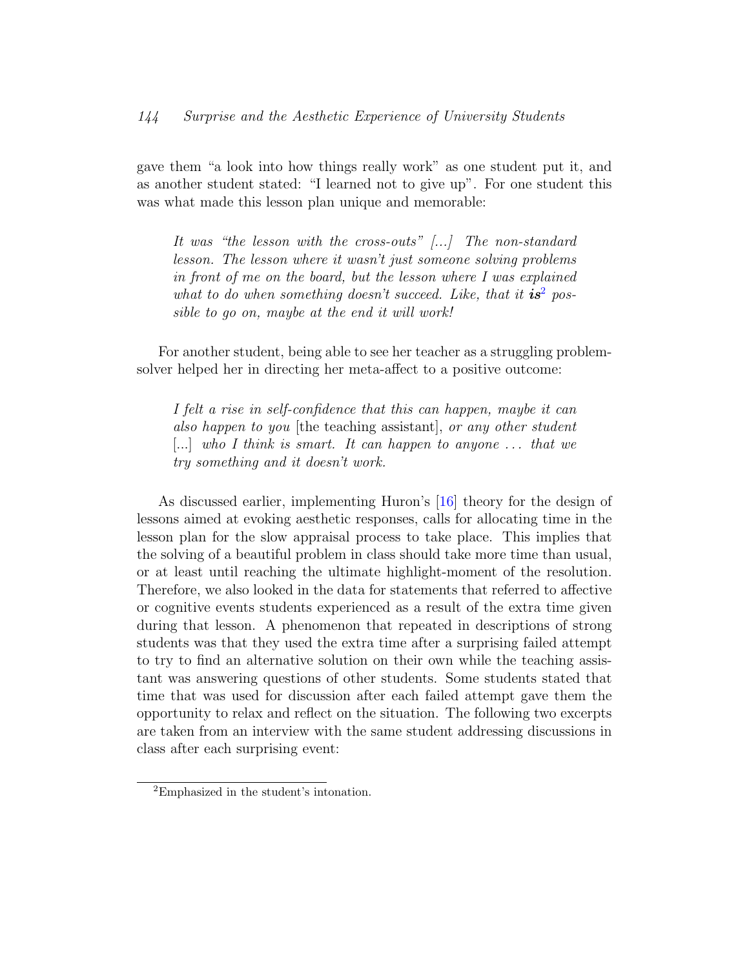gave them "a look into how things really work" as one student put it, and as another student stated: "I learned not to give up". For one student this was what made this lesson plan unique and memorable:

It was "the lesson with the cross-outs" [...] The non-standard lesson. The lesson where it wasn't just someone solving problems in front of me on the board, but the lesson where I was explained what to do when something doesn't succeed. Like, that it  $i s<sup>2</sup>$  $i s<sup>2</sup>$  $i s<sup>2</sup>$  possible to go on, maybe at the end it will work!

For another student, being able to see her teacher as a struggling problemsolver helped her in directing her meta-affect to a positive outcome:

I felt a rise in self-confidence that this can happen, maybe it can also happen to you [the teaching assistant], or any other student  $[...]$  who I think is smart. It can happen to anyone ... that we try something and it doesn't work.

As discussed earlier, implementing Huron's [\[16\]](#page-23-6) theory for the design of lessons aimed at evoking aesthetic responses, calls for allocating time in the lesson plan for the slow appraisal process to take place. This implies that the solving of a beautiful problem in class should take more time than usual, or at least until reaching the ultimate highlight-moment of the resolution. Therefore, we also looked in the data for statements that referred to affective or cognitive events students experienced as a result of the extra time given during that lesson. A phenomenon that repeated in descriptions of strong students was that they used the extra time after a surprising failed attempt to try to find an alternative solution on their own while the teaching assistant was answering questions of other students. Some students stated that time that was used for discussion after each failed attempt gave them the opportunity to relax and reflect on the situation. The following two excerpts are taken from an interview with the same student addressing discussions in class after each surprising event:

<span id="page-18-0"></span><sup>2</sup>Emphasized in the student's intonation.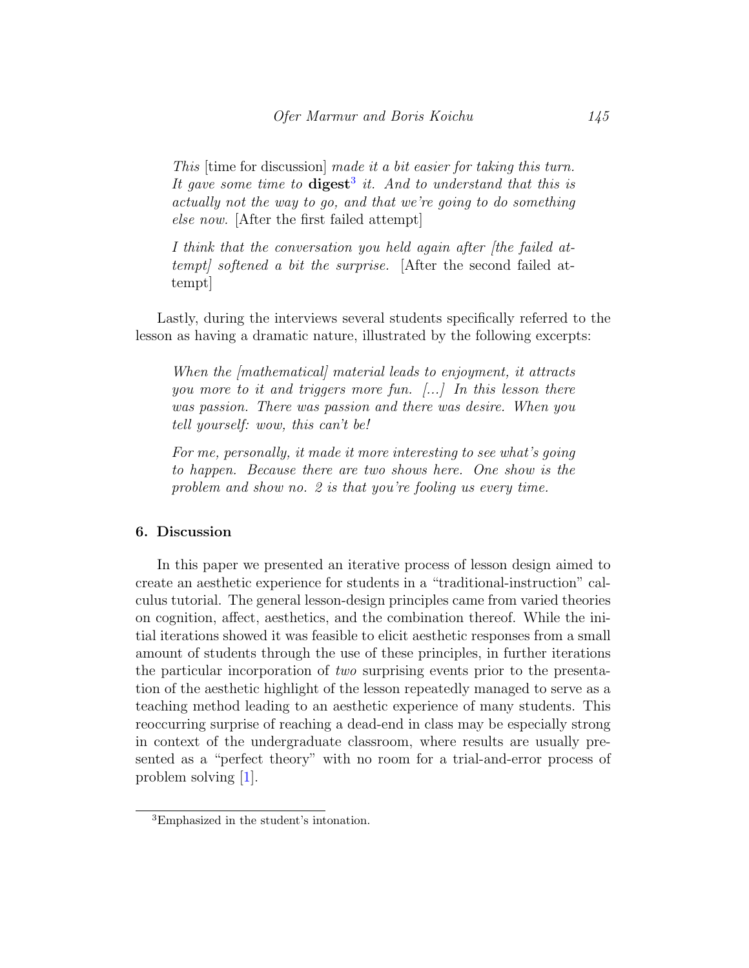This [time for discussion] made it a bit easier for taking this turn. It gave some time to  $\text{digest}^3$  $\text{digest}^3$  it. And to understand that this is actually not the way to go, and that we're going to do something else now. [After the first failed attempt]

I think that the conversation you held again after [the failed attempt] softened a bit the surprise. [After the second failed attempt]

Lastly, during the interviews several students specifically referred to the lesson as having a dramatic nature, illustrated by the following excerpts:

When the [mathematical] material leads to enjoyment, it attracts you more to it and triggers more fun. [...] In this lesson there was passion. There was passion and there was desire. When you tell yourself: wow, this can't be!

For me, personally, it made it more interesting to see what's going to happen. Because there are two shows here. One show is the problem and show no. 2 is that you're fooling us every time.

### 6. Discussion

In this paper we presented an iterative process of lesson design aimed to create an aesthetic experience for students in a "traditional-instruction" calculus tutorial. The general lesson-design principles came from varied theories on cognition, affect, aesthetics, and the combination thereof. While the initial iterations showed it was feasible to elicit aesthetic responses from a small amount of students through the use of these principles, in further iterations the particular incorporation of two surprising events prior to the presentation of the aesthetic highlight of the lesson repeatedly managed to serve as a teaching method leading to an aesthetic experience of many students. This reoccurring surprise of reaching a dead-end in class may be especially strong in context of the undergraduate classroom, where results are usually presented as a "perfect theory" with no room for a trial-and-error process of problem solving [\[1\]](#page-22-5).

<span id="page-19-0"></span><sup>3</sup>Emphasized in the student's intonation.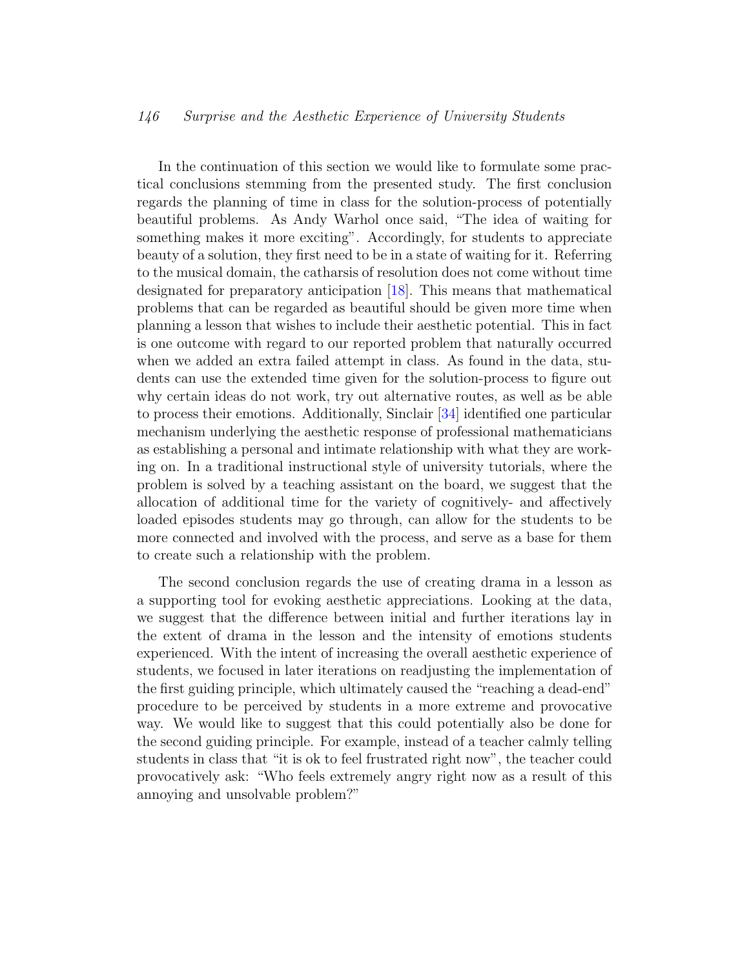In the continuation of this section we would like to formulate some practical conclusions stemming from the presented study. The first conclusion regards the planning of time in class for the solution-process of potentially beautiful problems. As Andy Warhol once said, "The idea of waiting for something makes it more exciting". Accordingly, for students to appreciate beauty of a solution, they first need to be in a state of waiting for it. Referring to the musical domain, the catharsis of resolution does not come without time designated for preparatory anticipation [\[18\]](#page-24-6). This means that mathematical problems that can be regarded as beautiful should be given more time when planning a lesson that wishes to include their aesthetic potential. This in fact is one outcome with regard to our reported problem that naturally occurred when we added an extra failed attempt in class. As found in the data, students can use the extended time given for the solution-process to figure out why certain ideas do not work, try out alternative routes, as well as be able to process their emotions. Additionally, Sinclair [\[34\]](#page-25-0) identified one particular mechanism underlying the aesthetic response of professional mathematicians as establishing a personal and intimate relationship with what they are working on. In a traditional instructional style of university tutorials, where the problem is solved by a teaching assistant on the board, we suggest that the allocation of additional time for the variety of cognitively- and affectively loaded episodes students may go through, can allow for the students to be more connected and involved with the process, and serve as a base for them to create such a relationship with the problem.

The second conclusion regards the use of creating drama in a lesson as a supporting tool for evoking aesthetic appreciations. Looking at the data, we suggest that the difference between initial and further iterations lay in the extent of drama in the lesson and the intensity of emotions students experienced. With the intent of increasing the overall aesthetic experience of students, we focused in later iterations on readjusting the implementation of the first guiding principle, which ultimately caused the "reaching a dead-end" procedure to be perceived by students in a more extreme and provocative way. We would like to suggest that this could potentially also be done for the second guiding principle. For example, instead of a teacher calmly telling students in class that "it is ok to feel frustrated right now", the teacher could provocatively ask: "Who feels extremely angry right now as a result of this annoying and unsolvable problem?"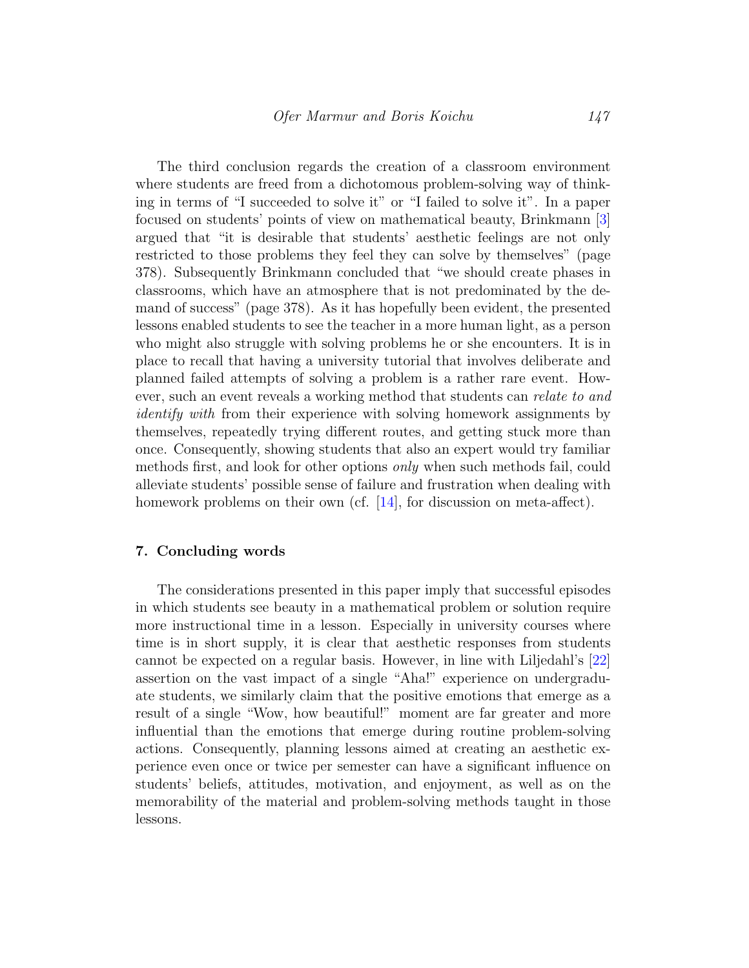The third conclusion regards the creation of a classroom environment where students are freed from a dichotomous problem-solving way of thinking in terms of "I succeeded to solve it" or "I failed to solve it". In a paper focused on students' points of view on mathematical beauty, Brinkmann [\[3\]](#page-22-2) argued that "it is desirable that students' aesthetic feelings are not only restricted to those problems they feel they can solve by themselves" (page 378). Subsequently Brinkmann concluded that "we should create phases in classrooms, which have an atmosphere that is not predominated by the demand of success" (page 378). As it has hopefully been evident, the presented lessons enabled students to see the teacher in a more human light, as a person who might also struggle with solving problems he or she encounters. It is in place to recall that having a university tutorial that involves deliberate and planned failed attempts of solving a problem is a rather rare event. However, such an event reveals a working method that students can relate to and identify with from their experience with solving homework assignments by themselves, repeatedly trying different routes, and getting stuck more than once. Consequently, showing students that also an expert would try familiar methods first, and look for other options only when such methods fail, could alleviate students' possible sense of failure and frustration when dealing with homework problems on their own (cf. [\[14\]](#page-23-4), for discussion on meta-affect).

#### 7. Concluding words

The considerations presented in this paper imply that successful episodes in which students see beauty in a mathematical problem or solution require more instructional time in a lesson. Especially in university courses where time is in short supply, it is clear that aesthetic responses from students cannot be expected on a regular basis. However, in line with Liljedahl's [\[22\]](#page-24-9) assertion on the vast impact of a single "Aha!" experience on undergraduate students, we similarly claim that the positive emotions that emerge as a result of a single "Wow, how beautiful!" moment are far greater and more influential than the emotions that emerge during routine problem-solving actions. Consequently, planning lessons aimed at creating an aesthetic experience even once or twice per semester can have a significant influence on students' beliefs, attitudes, motivation, and enjoyment, as well as on the memorability of the material and problem-solving methods taught in those lessons.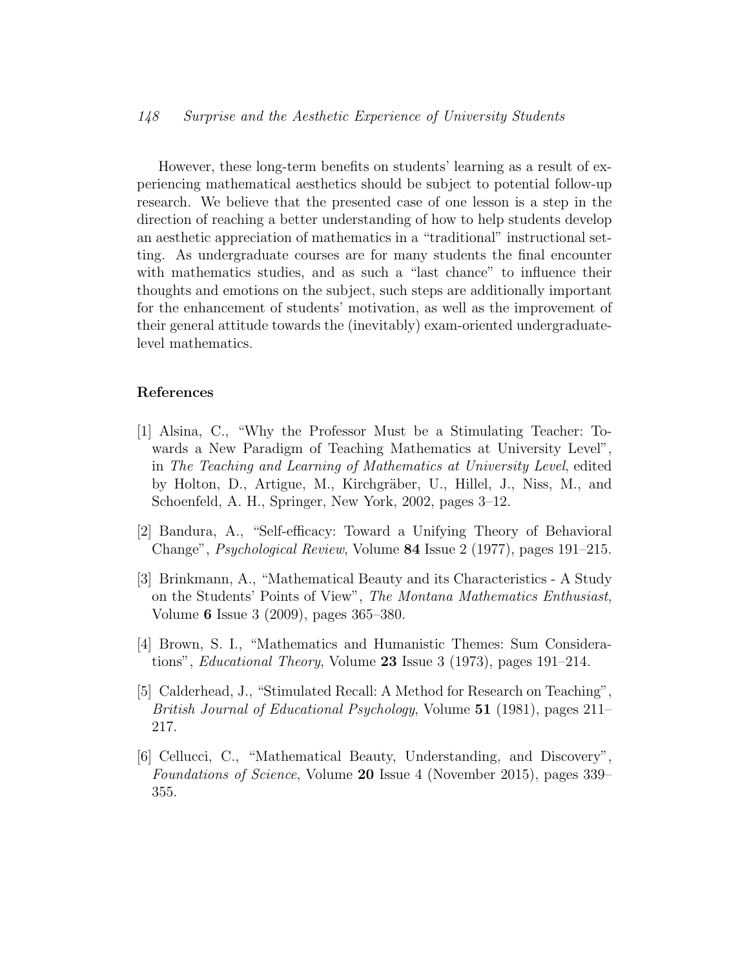However, these long-term benefits on students' learning as a result of experiencing mathematical aesthetics should be subject to potential follow-up research. We believe that the presented case of one lesson is a step in the direction of reaching a better understanding of how to help students develop an aesthetic appreciation of mathematics in a "traditional" instructional setting. As undergraduate courses are for many students the final encounter with mathematics studies, and as such a "last chance" to influence their thoughts and emotions on the subject, such steps are additionally important for the enhancement of students' motivation, as well as the improvement of their general attitude towards the (inevitably) exam-oriented undergraduatelevel mathematics.

#### References

- <span id="page-22-5"></span>[1] Alsina, C., "Why the Professor Must be a Stimulating Teacher: Towards a New Paradigm of Teaching Mathematics at University Level", in The Teaching and Learning of Mathematics at University Level, edited by Holton, D., Artigue, M., Kirchgräber, U., Hillel, J., Niss, M., and Schoenfeld, A. H., Springer, New York, 2002, pages 3–12.
- <span id="page-22-3"></span>[2] Bandura, A., "Self-efficacy: Toward a Unifying Theory of Behavioral Change", Psychological Review, Volume 84 Issue 2 (1977), pages 191–215.
- <span id="page-22-2"></span>[3] Brinkmann, A., "Mathematical Beauty and its Characteristics - A Study on the Students' Points of View", The Montana Mathematics Enthusiast, Volume 6 Issue 3 (2009), pages 365–380.
- <span id="page-22-0"></span>[4] Brown, S. I., "Mathematics and Humanistic Themes: Sum Considerations", Educational Theory, Volume 23 Issue 3 (1973), pages 191–214.
- <span id="page-22-4"></span>[5] Calderhead, J., "Stimulated Recall: A Method for Research on Teaching", British Journal of Educational Psychology, Volume 51 (1981), pages 211– 217.
- <span id="page-22-1"></span>[6] Cellucci, C., "Mathematical Beauty, Understanding, and Discovery", Foundations of Science, Volume 20 Issue 4 (November 2015), pages 339– 355.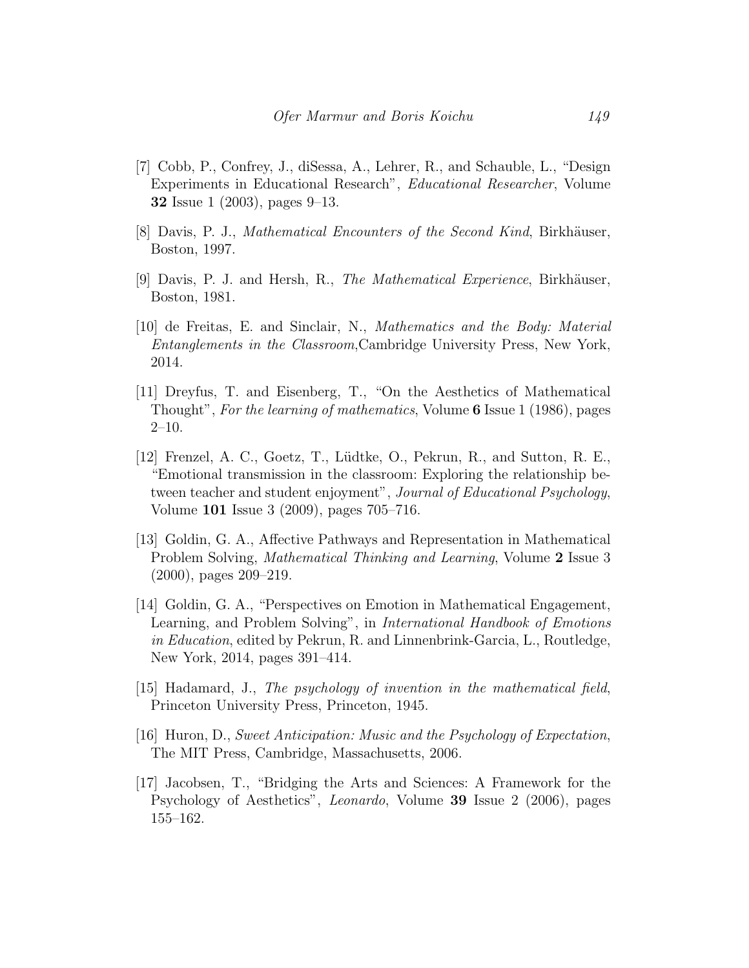- <span id="page-23-9"></span>[7] Cobb, P., Confrey, J., diSessa, A., Lehrer, R., and Schauble, L., "Design Experiments in Educational Research", Educational Researcher, Volume 32 Issue 1 (2003), pages 9–13.
- <span id="page-23-1"></span>[8] Davis, P. J., *Mathematical Encounters of the Second Kind*, Birkhäuser, Boston, 1997.
- <span id="page-23-2"></span>[9] Davis, P. J. and Hersh, R., The Mathematical Experience, Birkhäuser, Boston, 1981.
- <span id="page-23-3"></span>[10] de Freitas, E. and Sinclair, N., Mathematics and the Body: Material Entanglements in the Classroom,Cambridge University Press, New York, 2014.
- <span id="page-23-0"></span>[11] Dreyfus, T. and Eisenberg, T., "On the Aesthetics of Mathematical Thought", For the learning of mathematics, Volume 6 Issue 1 (1986), pages 2–10.
- <span id="page-23-8"></span>[12] Frenzel, A. C., Goetz, T., Lüdtke, O., Pekrun, R., and Sutton, R. E., "Emotional transmission in the classroom: Exploring the relationship between teacher and student enjoyment", Journal of Educational Psychology, Volume 101 Issue 3 (2009), pages 705–716.
- <span id="page-23-5"></span>[13] Goldin, G. A., Affective Pathways and Representation in Mathematical Problem Solving, Mathematical Thinking and Learning, Volume 2 Issue 3 (2000), pages 209–219.
- <span id="page-23-4"></span>[14] Goldin, G. A., "Perspectives on Emotion in Mathematical Engagement, Learning, and Problem Solving", in International Handbook of Emotions in Education, edited by Pekrun, R. and Linnenbrink-Garcia, L., Routledge, New York, 2014, pages 391–414.
- <span id="page-23-10"></span>[15] Hadamard, J., The psychology of invention in the mathematical field, Princeton University Press, Princeton, 1945.
- <span id="page-23-6"></span>[16] Huron, D., Sweet Anticipation: Music and the Psychology of Expectation, The MIT Press, Cambridge, Massachusetts, 2006.
- <span id="page-23-7"></span>[17] Jacobsen, T., "Bridging the Arts and Sciences: A Framework for the Psychology of Aesthetics", Leonardo, Volume 39 Issue 2 (2006), pages 155–162.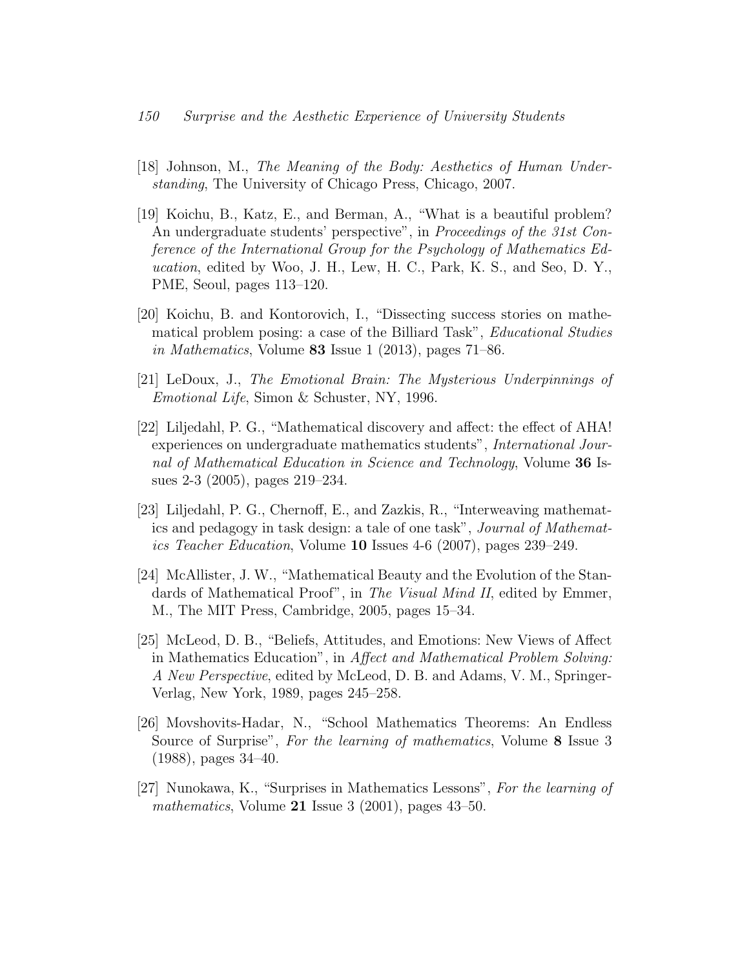- <span id="page-24-6"></span>[18] Johnson, M., The Meaning of the Body: Aesthetics of Human Understanding, The University of Chicago Press, Chicago, 2007.
- <span id="page-24-1"></span>[19] Koichu, B., Katz, E., and Berman, A., "What is a beautiful problem? An undergraduate students' perspective", in Proceedings of the 31st Conference of the International Group for the Psychology of Mathematics Education, edited by Woo, J. H., Lew, H. C., Park, K. S., and Seo, D. Y., PME, Seoul, pages 113–120.
- <span id="page-24-2"></span>[20] Koichu, B. and Kontorovich, I., "Dissecting success stories on mathematical problem posing: a case of the Billiard Task", Educational Studies in Mathematics, Volume 83 Issue 1 (2013), pages  $71-86$ .
- <span id="page-24-7"></span>[21] LeDoux, J., The Emotional Brain: The Mysterious Underpinnings of Emotional Life, Simon & Schuster, NY, 1996.
- <span id="page-24-9"></span>[22] Liljedahl, P. G., "Mathematical discovery and affect: the effect of AHA! experiences on undergraduate mathematics students", International Journal of Mathematical Education in Science and Technology, Volume 36 Issues 2-3 (2005), pages 219–234.
- <span id="page-24-8"></span>[23] Liljedahl, P. G., Chernoff, E., and Zazkis, R., "Interweaving mathematics and pedagogy in task design: a tale of one task", Journal of Mathematics Teacher Education, Volume 10 Issues 4-6 (2007), pages 239–249.
- <span id="page-24-0"></span>[24] McAllister, J. W., "Mathematical Beauty and the Evolution of the Standards of Mathematical Proof", in The Visual Mind II, edited by Emmer, M., The MIT Press, Cambridge, 2005, pages 15–34.
- <span id="page-24-5"></span>[25] McLeod, D. B., "Beliefs, Attitudes, and Emotions: New Views of Affect in Mathematics Education", in Affect and Mathematical Problem Solving: A New Perspective, edited by McLeod, D. B. and Adams, V. M., Springer-Verlag, New York, 1989, pages 245–258.
- <span id="page-24-3"></span>[26] Movshovits-Hadar, N., "School Mathematics Theorems: An Endless Source of Surprise", For the learning of mathematics, Volume 8 Issue 3 (1988), pages 34–40.
- <span id="page-24-4"></span>[27] Nunokawa, K., "Surprises in Mathematics Lessons", For the learning of mathematics, Volume  $21$  Issue 3 (2001), pages  $43-50$ .